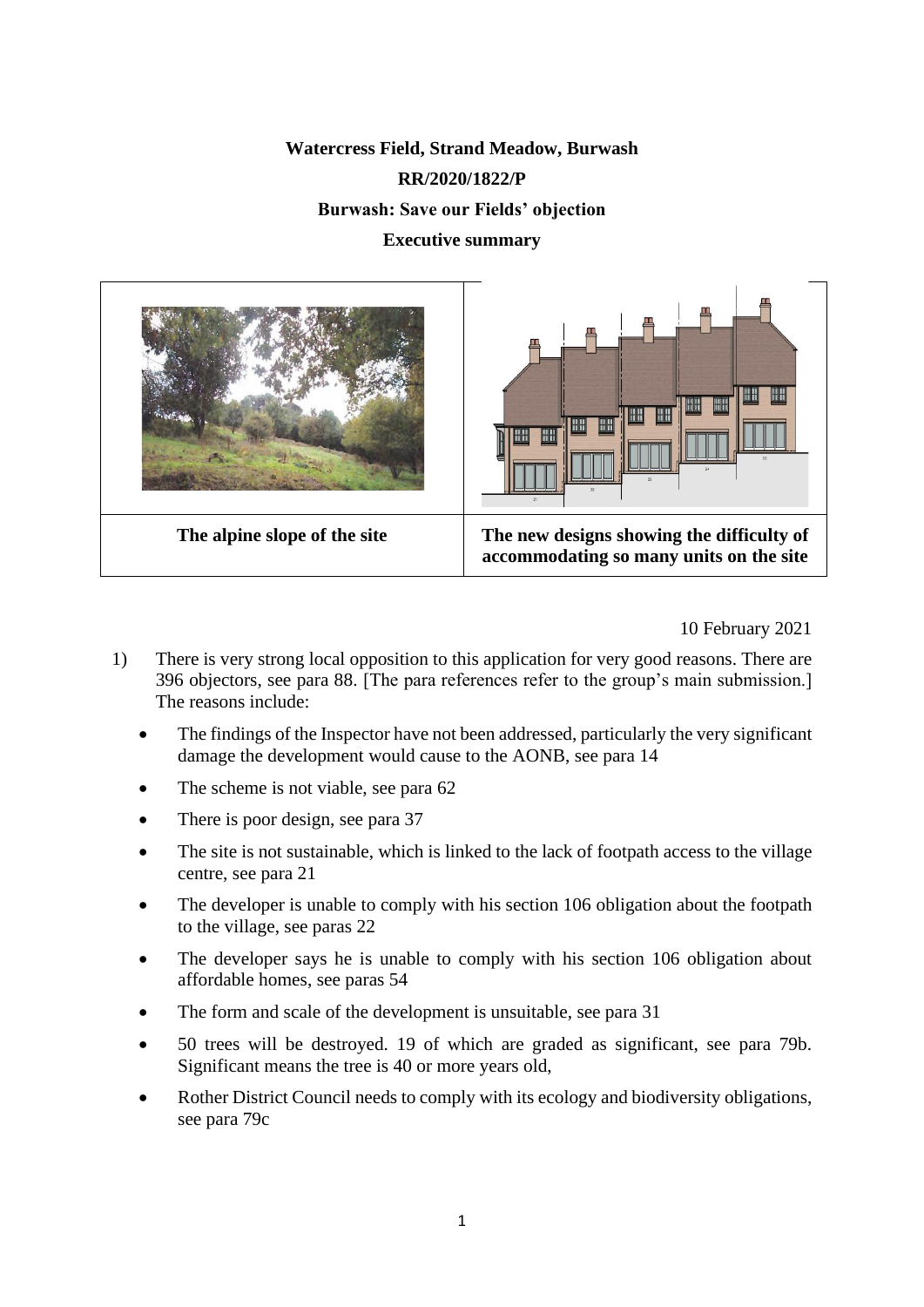# **Watercress Field, Strand Meadow, Burwash RR/2020/1822/P**

**Burwash: Save our Fields' objection**

#### **Executive summary**



10 February 2021

- 1) There is very strong local opposition to this application for very good reasons. There are 396 objectors, see para 88. [The para references refer to the group's main submission.] The reasons include:
	- The findings of the Inspector have not been addressed, particularly the very significant damage the development would cause to the AONB, see para 14
	- The scheme is not viable, see para 62
	- There is poor design, see para 37
	- The site is not sustainable, which is linked to the lack of footpath access to the village centre, see para 21
	- The developer is unable to comply with his section 106 obligation about the footpath to the village, see paras 22
	- The developer says he is unable to comply with his section 106 obligation about affordable homes, see paras 54
	- The form and scale of the development is unsuitable, see para 31
	- 50 trees will be destroyed. 19 of which are graded as significant, see para 79b. Significant means the tree is 40 or more years old,
	- Rother District Council needs to comply with its ecology and biodiversity obligations, see para 79c